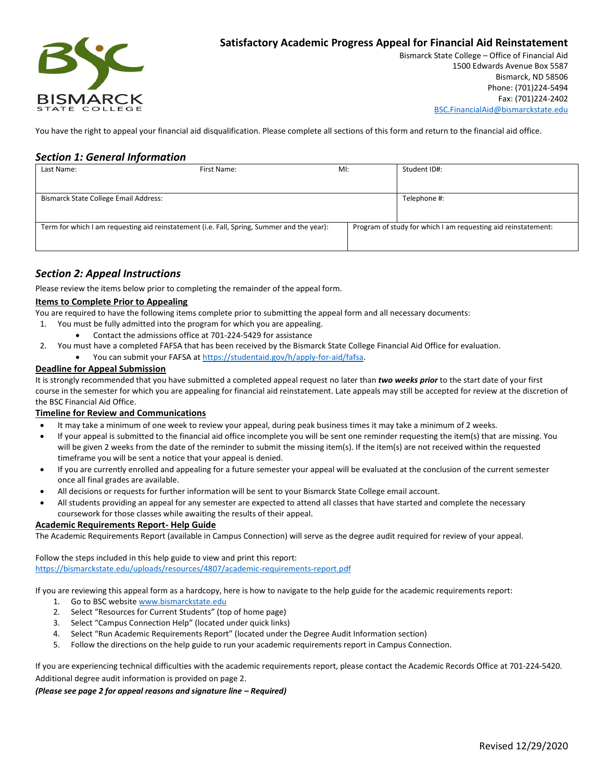

# **Satisfactory Academic Progress Appeal for Financial Aid Reinstatement**

Bismarck State College – Office of Financial Aid 1500 Edwards Avenue Box 5587 Bismarck, ND 58506 Phone: (701)224-5494 Fax: (701)224-2402 [BSC.FinancialAid@bismarckstate.edu](mailto:BSC.FinancialAid@bismarckstate.edu)

You have the right to appeal your financial aid disqualification. Please complete all sections of this form and return to the financial aid office.

### *Section 1: General Information*

| Last Name:                                                                                 | First Name: | $M!$ : |                                                               | Student ID#: |
|--------------------------------------------------------------------------------------------|-------------|--------|---------------------------------------------------------------|--------------|
|                                                                                            |             |        |                                                               |              |
| <b>Bismarck State College Email Address:</b>                                               |             |        |                                                               | Telephone #: |
|                                                                                            |             |        |                                                               |              |
| Term for which I am requesting aid reinstatement (i.e. Fall, Spring, Summer and the year): |             |        | Program of study for which I am requesting aid reinstatement: |              |
|                                                                                            |             |        |                                                               |              |

## *Section 2: Appeal Instructions*

Please review the items below prior to completing the remainder of the appeal form.

#### **Items to Complete Prior to Appealing**

You are required to have the following items complete prior to submitting the appeal form and all necessary documents:

- 1. You must be fully admitted into the program for which you are appealing.
	- Contact the admissions office at 701-224-5429 for assistance
- 2. You must have a completed FAFSA that has been received by the Bismarck State College Financial Aid Office for evaluation.
	- You can submit your FAFSA a[t https://studentaid.gov/h/apply-for-aid/fafsa.](https://studentaid.gov/h/apply-for-aid/fafsa)

#### **Deadline for Appeal Submission**

It is strongly recommended that you have submitted a completed appeal request no later than *two weeks prior* to the start date of your first course in the semester for which you are appealing for financial aid reinstatement. Late appeals may still be accepted for review at the discretion of the BSC Financial Aid Office.

#### **Timeline for Review and Communications**

- It may take a minimum of one week to review your appeal, during peak business times it may take a minimum of 2 weeks.
- If your appeal is submitted to the financial aid office incomplete you will be sent one reminder requesting the item(s) that are missing. You will be given 2 weeks from the date of the reminder to submit the missing item(s). If the item(s) are not received within the requested timeframe you will be sent a notice that your appeal is denied.
- If you are currently enrolled and appealing for a future semester your appeal will be evaluated at the conclusion of the current semester once all final grades are available.
- All decisions or requests for further information will be sent to your Bismarck State College email account.
- All students providing an appeal for any semester are expected to attend all classes that have started and complete the necessary coursework for those classes while awaiting the results of their appeal.

#### **Academic Requirements Report- Help Guide**

The Academic Requirements Report (available in Campus Connection) will serve as the degree audit required for review of your appeal.

Follow the steps included in this help guide to view and print this report: <https://bismarckstate.edu/uploads/resources/4807/academic-requirements-report.pdf>

If you are reviewing this appeal form as a hardcopy, here is how to navigate to the help guide for the academic requirements report:

- 1. Go to BSC website [www.bismarckstate.edu](http://www.bismarckstate.edu/)
- 2. Select "Resources for Current Students" (top of home page)
- 3. Select "Campus Connection Help" (located under quick links)
- 4. Select "Run Academic Requirements Report" (located under the Degree Audit Information section)
- 5. Follow the directions on the help guide to run your academic requirements report in Campus Connection.

If you are experiencing technical difficulties with the academic requirements report, please contact the Academic Records Office at 701-224-5420. Additional degree audit information is provided on page 2.

#### *(Please see page 2 for appeal reasons and signature line – Required)*